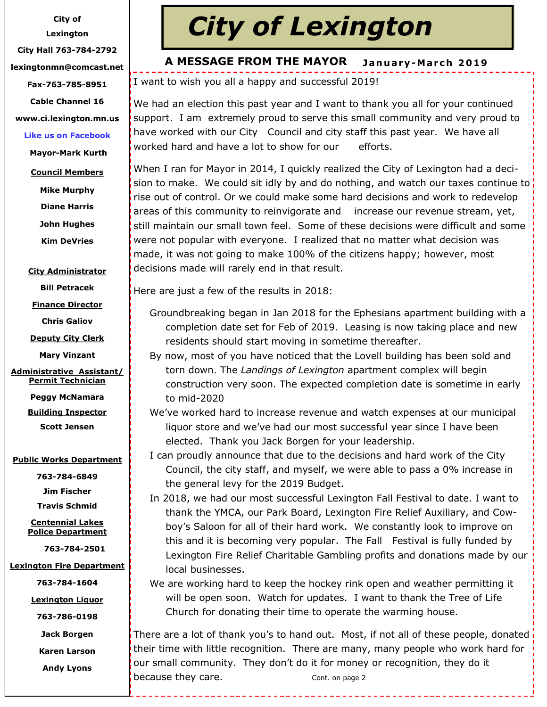**City of** 

**Lexington**

**City Hall 763-784-2792**

**lexingtonmn@comcast.net**

**Fax-763-785-8951**

**Cable Channel 16**

**www.ci.lexington.mn.us**

## **Like us on Facebook**

**Mayor-Mark Kurth**

- **Council Members**
	- **Mike Murphy**

**Diane Harris**

**John Hughes**

**Kim DeVries**

## **City Administrator**

**Bill Petracek**

**Finance Director**

**Chris Galiov**

**Deputy City Clerk**

**Mary Vinzant**

**Administrative Assistant/ Permit Technician**

**Peggy McNamara**

**Building Inspector Scott Jensen**

## **Public Works Department**

**763-784-6849**

**Jim Fischer Travis Schmid**

**Centennial Lakes Police Department** 

 **763-784-2501**

**Lexington Fire Department** 

**763-784-1604**

**Lexington Liquor** 

**763-786-0198**

**Jack Borgen**

**Karen Larson**

**Andy Lyons**

# *City of Lexington*

#### **J a n u a r y-M a r c h 2 0 1 9 A MESSAGE FROM THE MAYOR**

I want to wish you all a happy and successful 2019!

We had an election this past year and I want to thank you all for your continued support. I am extremely proud to serve this small community and very proud to have worked with our City Council and city staff this past year. We have all worked hard and have a lot to show for our efforts.

When I ran for Mayor in 2014, I quickly realized the City of Lexington had a decision to make. We could sit idly by and do nothing, and watch our taxes continue to rise out of control. Or we could make some hard decisions and work to redevelop areas of this community to reinvigorate and increase our revenue stream, yet, still maintain our small town feel. Some of these decisions were difficult and some were not popular with everyone. I realized that no matter what decision was made, it was not going to make 100% of the citizens happy; however, most decisions made will rarely end in that result.

Here are just a few of the results in 2018:

Groundbreaking began in Jan 2018 for the Ephesians apartment building with a completion date set for Feb of 2019. Leasing is now taking place and new residents should start moving in sometime thereafter.

- By now, most of you have noticed that the Lovell building has been sold and torn down. The *Landings of Lexington* apartment complex will begin construction very soon. The expected completion date is sometime in early to mid-2020
- We've worked hard to increase revenue and watch expenses at our municipal liquor store and we've had our most successful year since I have been elected. Thank you Jack Borgen for your leadership.
- I can proudly announce that due to the decisions and hard work of the City Council, the city staff, and myself, we were able to pass a 0% increase in the general levy for the 2019 Budget.
- In 2018, we had our most successful Lexington Fall Festival to date. I want to thank the YMCA, our Park Board, Lexington Fire Relief Auxiliary, and Cowboy's Saloon for all of their hard work. We constantly look to improve on this and it is becoming very popular. The Fall Festival is fully funded by Lexington Fire Relief Charitable Gambling profits and donations made by our local businesses.

We are working hard to keep the hockey rink open and weather permitting it will be open soon. Watch for updates. I want to thank the Tree of Life Church for donating their time to operate the warming house.

There are a lot of thank you's to hand out. Most, if not all of these people, donated their time with little recognition. There are many, many people who work hard for our small community. They don't do it for money or recognition, they do it because they care. The cont. on page 2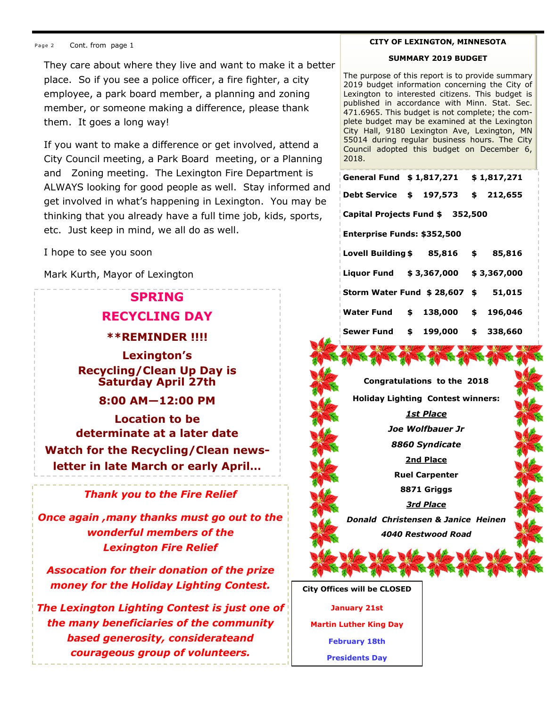They care about where they live and want to make it a better place. So if you see a police officer, a fire fighter, a city employee, a park board member, a planning and zoning member, or someone making a difference, please thank them. It goes a long way!

If you want to make a difference or get involved, attend a City Council meeting, a Park Board meeting, or a Planning and Zoning meeting. The Lexington Fire Department is ALWAYS looking for good people as well. Stay informed and get involved in what's happening in Lexington. You may be thinking that you already have a full time job, kids, sports, etc. Just keep in mind, we all do as well.

I hope to see you soon

Mark Kurth, Mayor of Lexington

# **SPRING**

# **RECYCLING DAY**

**\*\*REMINDER !!!!**

**Lexington's Recycling/Clean Up Day is Saturday April 27th** 

# **8:00 AM—12:00 PM**

**Location to be determinate at a later date Watch for the Recycling/Clean newsletter in late March or early April…**

# *Thank you to the Fire Relief*

*Once again ,many thanks must go out to the wonderful members of the Lexington Fire Relief* 

*Assocation for their donation of the prize money for the Holiday Lighting Contest.*

*The Lexington Lighting Contest is just one of the many beneficiaries of the community based generosity, considerateand courageous group of volunteers.*

#### **CITY OF LEXINGTON, MINNESOTA**

#### **SUMMARY 2019 BUDGET**

The purpose of this report is to provide summary 2019 budget information concerning the City of Lexington to interested citizens. This budget is published in accordance with Minn. Stat. Sec. 471.6965. This budget is not complete; the complete budget may be examined at the Lexington City Hall, 9180 Lexington Ave, Lexington, MN 55014 during regular business hours. The City Council adopted this budget on December 6, 2018.

| General Fund $$1,817,271$ $$1,817,271$      |  |  |  |  |
|---------------------------------------------|--|--|--|--|
| Debt Service \$ 197,573 \$ 212,655          |  |  |  |  |
| Capital Projects Fund \$ 352,500            |  |  |  |  |
| Enterprise Funds: \$352,500                 |  |  |  |  |
| Lovell Building $$85,816$ $$85,816$         |  |  |  |  |
| Liquor Fund \$3,367,000 \$3,367,000         |  |  |  |  |
| <b>Storm Water Fund \$ 28,607 \$ 51,015</b> |  |  |  |  |
| Water Fund \$ 138,000 \$ 196,046            |  |  |  |  |
| Sewer Fund \$ 199,000 \$ 338,660            |  |  |  |  |



**Holiday Lighting Contest winners:**

*1st Place Joe Wolfbauer Jr*

*8860 Syndicate*

**2nd Place**

**Ruel Carpenter**

**8871 Griggs**

*3rd Place Donald Christensen & Janice Heinen 4040 Restwood Road*

**City Offices will be CLOSED**

**January 21st Martin Luther King Day February 18th Presidents Day**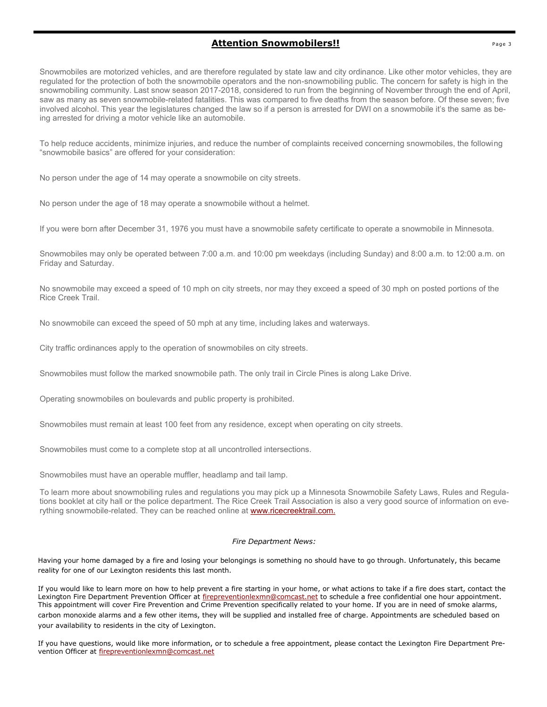## **Attention Snowmobilers!!** Page 3

Snowmobiles are motorized vehicles, and are therefore regulated by state law and city ordinance. Like other motor vehicles, they are regulated for the protection of both the snowmobile operators and the non-snowmobiling public. The concern for safety is high in the snowmobiling community. Last snow season 2017-2018, considered to run from the beginning of November through the end of April, saw as many as seven snowmobile-related fatalities. This was compared to five deaths from the season before. Of these seven; five involved alcohol. This year the legislatures changed the law so if a person is arrested for DWI on a snowmobile it's the same as being arrested for driving a motor vehicle like an automobile.

To help reduce accidents, minimize injuries, and reduce the number of complaints received concerning snowmobiles, the following "snowmobile basics" are offered for your consideration:

No person under the age of 14 may operate a snowmobile on city streets.

No person under the age of 18 may operate a snowmobile without a helmet.

If you were born after December 31, 1976 you must have a snowmobile safety certificate to operate a snowmobile in Minnesota.

Snowmobiles may only be operated between 7:00 a.m. and 10:00 pm weekdays (including Sunday) and 8:00 a.m. to 12:00 a.m. on Friday and Saturday.

No snowmobile may exceed a speed of 10 mph on city streets, nor may they exceed a speed of 30 mph on posted portions of the Rice Creek Trail.

No snowmobile can exceed the speed of 50 mph at any time, including lakes and waterways.

City traffic ordinances apply to the operation of snowmobiles on city streets.

Snowmobiles must follow the marked snowmobile path. The only trail in Circle Pines is along Lake Drive.

Operating snowmobiles on boulevards and public property is prohibited.

Snowmobiles must remain at least 100 feet from any residence, except when operating on city streets.

Snowmobiles must come to a complete stop at all uncontrolled intersections.

Snowmobiles must have an operable muffler, headlamp and tail lamp.

To learn more about snowmobiling rules and regulations you may pick up a Minnesota Snowmobile Safety Laws, Rules and Regulations booklet at city hall or the police department. The Rice Creek Trail Association is also a very good source of information on everything snowmobile-related. They can be reached online at [www.ricecreektrail.com.](https://l.facebook.com/l.php?u=http%3A%2F%2Fwww.ricecreektrail.com%2F%3Ffbclid%3DIwAR3Qyk5lFTubvahnz0anj9weujPCk2DyHIl3wKcJJt7BFILXUbhr8B5v-ig&h=AT3nfbyhh9Ppk5xa3DS9hUthaf46LEQO3N8GTkM6IaK9GPXD-QD1KH-siFo-9GE2MVRT3N66UofJ3370ourhGdrCGsiuCBMOGSu-nF1ReQvJ0TXZoa)

#### *Fire Department News:*

Having your home damaged by a fire and losing your belongings is something no should have to go through. Unfortunately, this became reality for one of our Lexington residents this last month.

If you would like to learn more on how to help prevent a fire starting in your home, or what actions to take if a fire does start, contact the Lexington Fire Department Prevention Officer at [firepreventionlexmn@comcast.net](mailto:firepreventionlexmn@comcast.net) to schedule a free confidential one hour appointment. This appointment will cover Fire Prevention and Crime Prevention specifically related to your home. If you are in need of smoke alarms, carbon monoxide alarms and a few other items, they will be supplied and installed free of charge. Appointments are scheduled based on your availability to residents in the city of Lexington.

If you have questions, would like more information, or to schedule a free appointment, please contact the Lexington Fire Department Prevention Officer at [firepreventionlexmn@comcast.net](mailto:firepreventionlexmn@comcast.net)